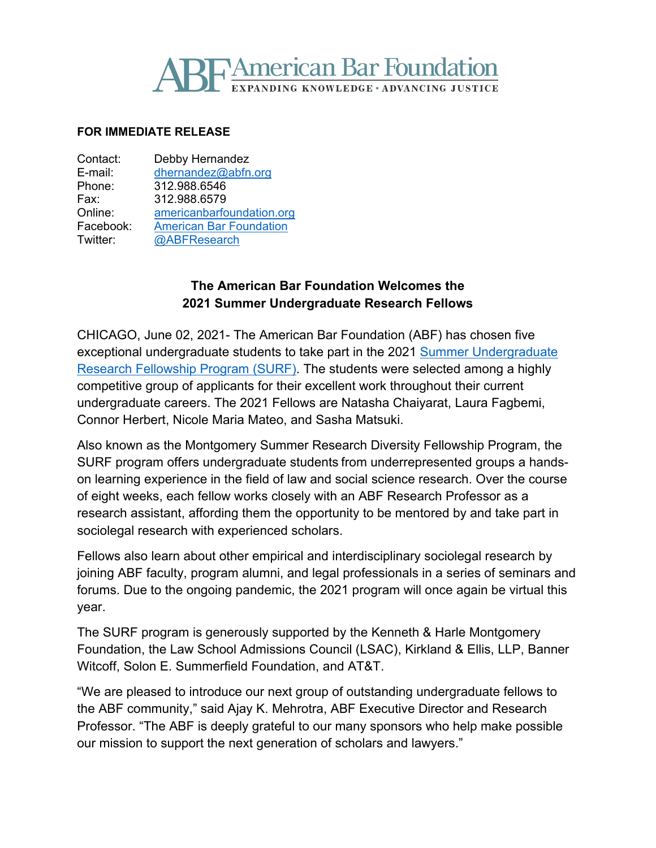# **SF American Bar Foundation**

#### **FOR IMMEDIATE RELEASE**

| Contact:  | Debby Hernandez                |
|-----------|--------------------------------|
| E-mail:   | dhernandez@abfn.org            |
| Phone:    | 312.988.6546                   |
| Fax:      | 312.988.6579                   |
| Online:   | americanbarfoundation.org      |
| Facebook: | <b>American Bar Foundation</b> |
| Twitter:  | @ABFResearch                   |

## **The American Bar Foundation Welcomes the 2021 Summer Undergraduate Research Fellows**

CHICAGO, June 02, 2021- The American Bar Foundation (ABF) has chosen five exceptional undergraduate students to take part in the 2021 [Summer Undergraduate](http://www.americanbarfoundation.org/research/Fellowshipopportunities/Summer_Undergraduate_Research_Fellowship_Program.html)  [Research Fellowship Program](http://www.americanbarfoundation.org/research/Fellowshipopportunities/Summer_Undergraduate_Research_Fellowship_Program.html) (SURF). The students were selected among a highly competitive group of applicants for their excellent work throughout their current undergraduate careers. The 2021 Fellows are Natasha Chaiyarat, Laura Fagbemi, Connor Herbert, Nicole Maria Mateo, and Sasha Matsuki.

Also known as the Montgomery Summer Research Diversity Fellowship Program, the SURF program offers undergraduate students from underrepresented groups a handson learning experience in the field of law and social science research. Over the course of eight weeks, each fellow works closely with an ABF Research Professor as a research assistant, affording them the opportunity to be mentored by and take part in sociolegal research with experienced scholars.

Fellows also learn about other empirical and interdisciplinary sociolegal research by joining ABF faculty, program alumni, and legal professionals in a series of seminars and forums. Due to the ongoing pandemic, the 2021 program will once again be virtual this year.

The SURF program is generously supported by the Kenneth & Harle Montgomery Foundation, the Law School Admissions Council (LSAC), Kirkland & Ellis, LLP, Banner Witcoff, Solon E. Summerfield Foundation, and AT&T.

"We are pleased to introduce our next group of outstanding undergraduate fellows to the ABF community," said Ajay K. Mehrotra, ABF Executive Director and Research Professor. "The ABF is deeply grateful to our many sponsors who help make possible our mission to support the next generation of scholars and lawyers."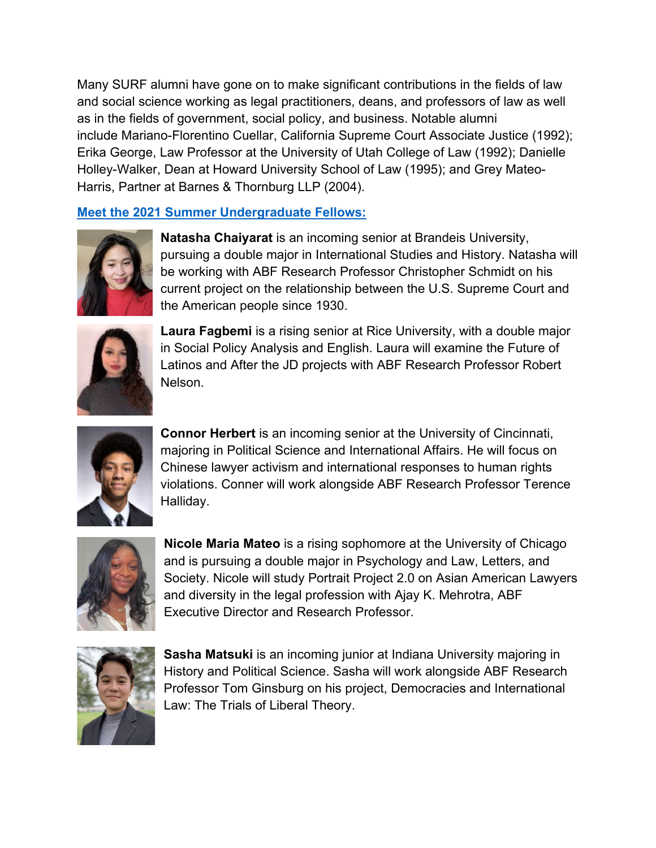Many SURF alumni have gone on to make significant contributions in the fields of law and social science working as legal practitioners, deans, and professors of law as well as in the fields of government, social policy, and business. Notable alumni include Mariano-Florentino Cuellar, California Supreme Court Associate Justice (1992); Erika George, Law Professor at the University of Utah College of Law (1992); Danielle Holley-Walker, Dean at Howard University School of Law (1995); and Grey Mateo-Harris, Partner at Barnes & Thornburg LLP (2004).

## **[Meet the 2021 Summer Undergraduate Fellows:](http://www.americanbarfoundation.org/fellowships/Summer_Research_Diversity_Fellows/2021_Summer_Undergraduate_Research_Fellows.html)**



**Natasha Chaiyarat** is an incoming senior at Brandeis University, pursuing a double major in International Studies and History. Natasha will be working with ABF Research Professor Christopher Schmidt on his current project on the relationship between the U.S. Supreme Court and the American people since 1930.



**Laura Fagbemi** is a rising senior at Rice University, with a double major in Social Policy Analysis and English. Laura will examine the Future of Latinos and After the JD projects with ABF Research Professor Robert Nelson.



**Connor Herbert** is an incoming senior at the University of Cincinnati, majoring in Political Science and International Affairs. He will focus on Chinese lawyer activism and international responses to human rights violations. Conner will work alongside ABF Research Professor Terence Halliday.



**Nicole Maria Mateo** is a rising sophomore at the University of Chicago and is pursuing a double major in Psychology and Law, Letters, and Society. Nicole will study Portrait Project 2.0 on Asian American Lawyers and diversity in the legal profession with Ajay K. Mehrotra, ABF Executive Director and Research Professor.



**Sasha Matsuki** is an incoming junior at Indiana University majoring in History and Political Science. Sasha will work alongside ABF Research Professor Tom Ginsburg on his project, Democracies and International Law: The Trials of Liberal Theory.